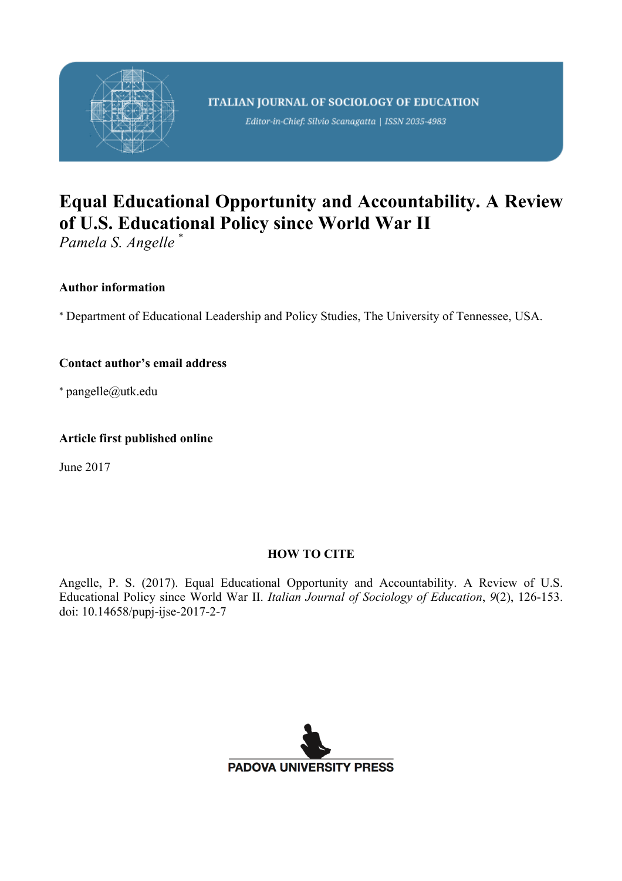

Editor-in-Chief: Silvio Scanagatta | ISSN 2035-4983

# **Equal Educational Opportunity and Accountability. A Review of U.S. Educational Policy since World War II**

*Pamela S. Angelle* \*

### **Author information**

\* Department of Educational Leadership and Policy Studies, The University of Tennessee, USA.

### **Contact author's email address**

\* pangelle@utk.edu

### **Article first published online**

June 2017

### **HOW TO CITE**

Angelle, P. S. (2017). Equal Educational Opportunity and Accountability. A Review of U.S. Educational Policy since World War II. *Italian Journal of Sociology of Education*, *9*(2), 126-153. doi: 10.14658/pupj-ijse-2017-2-7

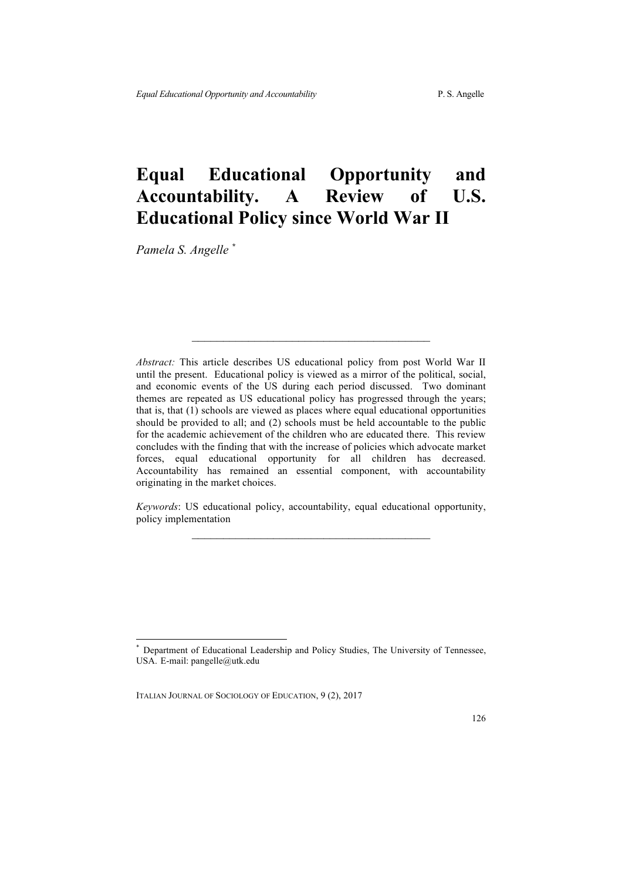## **Equal Educational Opportunity and Accountability. A Review of U.S. Educational Policy since World War II**

*Pamela S. Angelle \**

*Abstract:* This article describes US educational policy from post World War II until the present. Educational policy is viewed as a mirror of the political, social, and economic events of the US during each period discussed. Two dominant themes are repeated as US educational policy has progressed through the years; that is, that (1) schools are viewed as places where equal educational opportunities should be provided to all; and (2) schools must be held accountable to the public for the academic achievement of the children who are educated there. This review concludes with the finding that with the increase of policies which advocate market forces, equal educational opportunity for all children has decreased. Accountability has remained an essential component, with accountability originating in the market choices.

*Keywords*: US educational policy, accountability, equal educational opportunity, policy implementation  $\mathcal{L}_\text{max}$  and  $\mathcal{L}_\text{max}$  and  $\mathcal{L}_\text{max}$  and  $\mathcal{L}_\text{max}$ 

Department of Educational Leadership and Policy Studies, The University of Tennessee, USA. E-mail: pangelle@utk.edu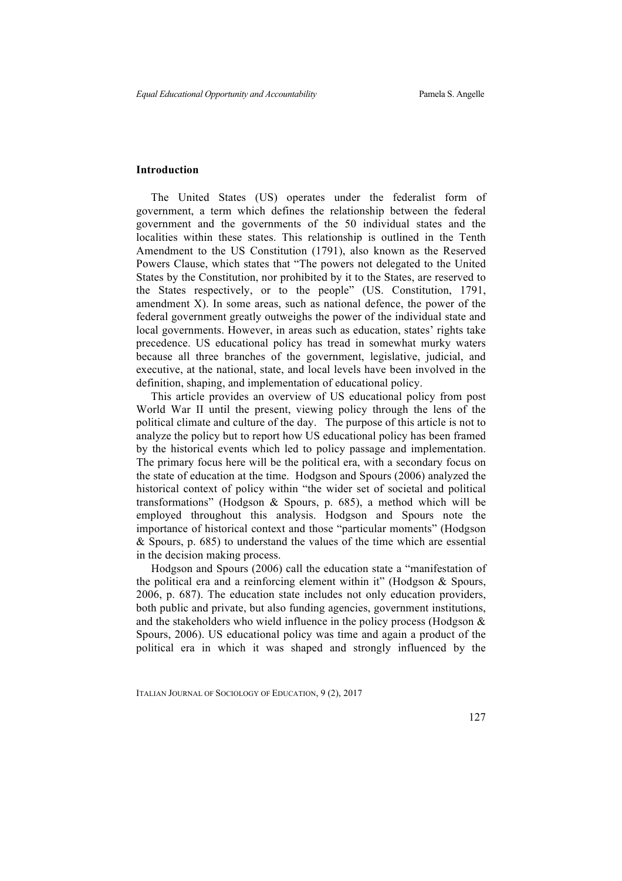#### **Introduction**

The United States (US) operates under the federalist form of government, a term which defines the relationship between the federal government and the governments of the 50 individual states and the localities within these states. This relationship is outlined in the Tenth Amendment to the US Constitution (1791), also known as the Reserved Powers Clause, which states that "The powers not delegated to the United States by the Constitution, nor prohibited by it to the States, are reserved to the States respectively, or to the people" (US. Constitution, 1791, amendment X). In some areas, such as national defence, the power of the federal government greatly outweighs the power of the individual state and local governments. However, in areas such as education, states' rights take precedence. US educational policy has tread in somewhat murky waters because all three branches of the government, legislative, judicial, and executive, at the national, state, and local levels have been involved in the definition, shaping, and implementation of educational policy.

This article provides an overview of US educational policy from post World War II until the present, viewing policy through the lens of the political climate and culture of the day. The purpose of this article is not to analyze the policy but to report how US educational policy has been framed by the historical events which led to policy passage and implementation. The primary focus here will be the political era, with a secondary focus on the state of education at the time. Hodgson and Spours (2006) analyzed the historical context of policy within "the wider set of societal and political transformations" (Hodgson & Spours, p. 685), a method which will be employed throughout this analysis. Hodgson and Spours note the importance of historical context and those "particular moments" (Hodgson & Spours, p. 685) to understand the values of the time which are essential in the decision making process.

Hodgson and Spours (2006) call the education state a "manifestation of the political era and a reinforcing element within it" (Hodgson & Spours, 2006, p. 687). The education state includes not only education providers, both public and private, but also funding agencies, government institutions, and the stakeholders who wield influence in the policy process (Hodgson & Spours, 2006). US educational policy was time and again a product of the political era in which it was shaped and strongly influenced by the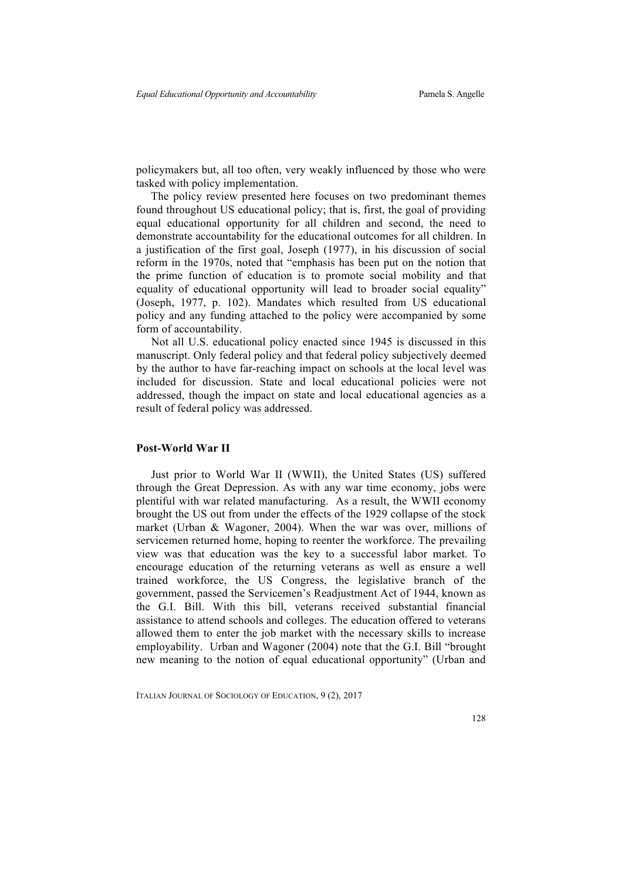policymakers but, all too often, very weakly influenced by those who were tasked with policy implementation.

The policy review presented here focuses on two predominant themes found throughout US educational policy; that is, first, the goal of providing equal educational opportunity for all children and second, the need to demonstrate accountability for the educational outcomes for all children. In a justification of the first goal, Joseph (1977), in his discussion of social reform in the 1970s, noted that "emphasis has been put on the notion that the prime function of education is to promote social mobility and that equality of educational opportunity will lead to broader social equality" (Joseph, 1977, p. 102). Mandates which resulted from US educational policy and any funding attached to the policy were accompanied by some form of accountability.

Not all U.S. educational policy enacted since 1945 is discussed in this manuscript. Only federal policy and that federal policy subjectively deemed by the author to have far-reaching impact on schools at the local level was included for discussion. State and local educational policies were not addressed, though the impact on state and local educational agencies as a result of federal policy was addressed.

#### **Post-World War II**

Just prior to World War II (WWII), the United States (US) suffered through the Great Depression. As with any war time economy, jobs were plentiful with war related manufacturing. As a result, the WWII economy brought the US out from under the effects of the 1929 collapse of the stock market (Urban & Wagoner, 2004). When the war was over, millions of servicemen returned home, hoping to reenter the workforce. The prevailing view was that education was the key to a successful labor market. To encourage education of the returning veterans as well as ensure a well trained workforce, the US Congress, the legislative branch of the government, passed the Servicemen's Readjustment Act of 1944, known as the G.I. Bill. With this bill, veterans received substantial financial assistance to attend schools and colleges. The education offered to veterans allowed them to enter the job market with the necessary skills to increase employability. Urban and Wagoner (2004) note that the G.I. Bill "brought new meaning to the notion of equal educational opportunity" (Urban and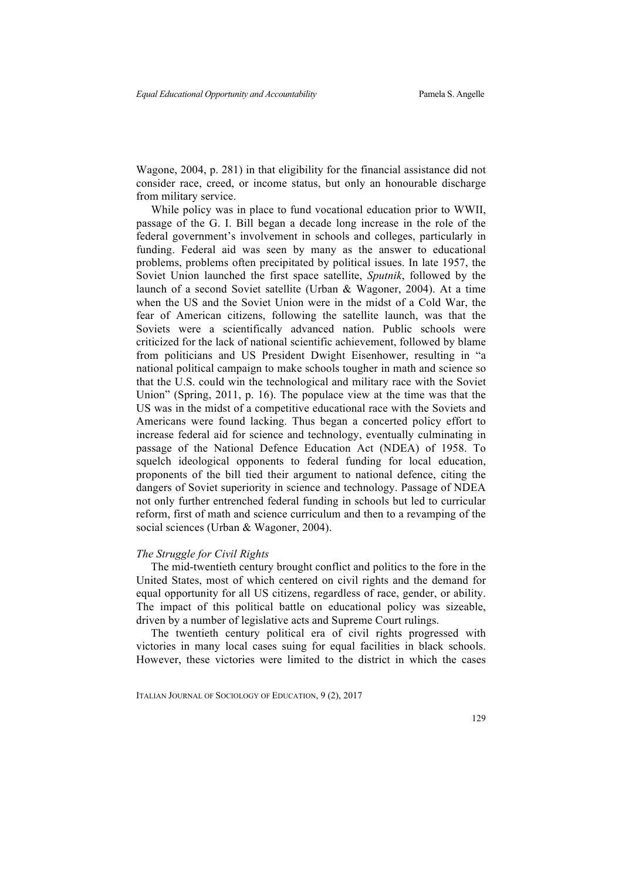Wagone, 2004, p. 281) in that eligibility for the financial assistance did not consider race, creed, or income status, but only an honourable discharge from military service.

While policy was in place to fund vocational education prior to WWII, passage of the G. I. Bill began a decade long increase in the role of the federal government's involvement in schools and colleges, particularly in funding. Federal aid was seen by many as the answer to educational problems, problems often precipitated by political issues. In late 1957, the Soviet Union launched the first space satellite, *Sputnik*, followed by the launch of a second Soviet satellite (Urban & Wagoner, 2004). At a time when the US and the Soviet Union were in the midst of a Cold War, the fear of American citizens, following the satellite launch, was that the Soviets were a scientifically advanced nation. Public schools were criticized for the lack of national scientific achievement, followed by blame from politicians and US President Dwight Eisenhower, resulting in "a national political campaign to make schools tougher in math and science so that the U.S. could win the technological and military race with the Soviet Union" (Spring, 2011, p. 16). The populace view at the time was that the US was in the midst of a competitive educational race with the Soviets and Americans were found lacking. Thus began a concerted policy effort to increase federal aid for science and technology, eventually culminating in passage of the National Defence Education Act (NDEA) of 1958. To squelch ideological opponents to federal funding for local education, proponents of the bill tied their argument to national defence, citing the dangers of Soviet superiority in science and technology. Passage of NDEA not only further entrenched federal funding in schools but led to curricular reform, first of math and science curriculum and then to a revamping of the social sciences (Urban & Wagoner, 2004).

#### *The Struggle for Civil Rights*

The mid-twentieth century brought conflict and politics to the fore in the United States, most of which centered on civil rights and the demand for equal opportunity for all US citizens, regardless of race, gender, or ability. The impact of this political battle on educational policy was sizeable, driven by a number of legislative acts and Supreme Court rulings.

The twentieth century political era of civil rights progressed with victories in many local cases suing for equal facilities in black schools. However, these victories were limited to the district in which the cases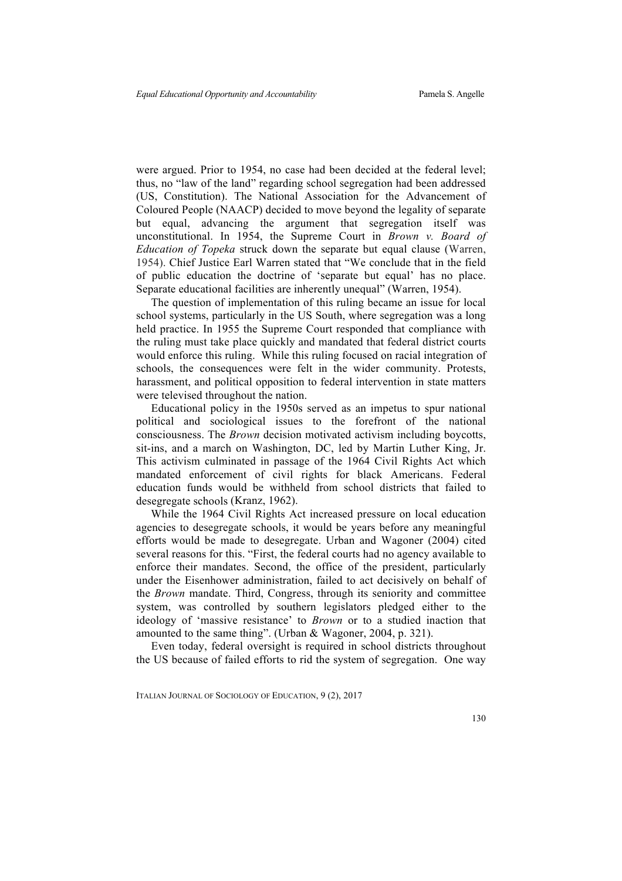were argued. Prior to 1954, no case had been decided at the federal level; thus, no "law of the land" regarding school segregation had been addressed (US, Constitution). The National Association for the Advancement of Coloured People (NAACP) decided to move beyond the legality of separate but equal, advancing the argument that segregation itself was unconstitutional. In 1954, the Supreme Court in *Brown v. Board of Education of Topeka* struck down the separate but equal clause (Warren, 1954). Chief Justice Earl Warren stated that "We conclude that in the field of public education the doctrine of 'separate but equal' has no place. Separate educational facilities are inherently unequal" (Warren, 1954).

The question of implementation of this ruling became an issue for local school systems, particularly in the US South, where segregation was a long held practice. In 1955 the Supreme Court responded that compliance with the ruling must take place quickly and mandated that federal district courts would enforce this ruling. While this ruling focused on racial integration of schools, the consequences were felt in the wider community. Protests, harassment, and political opposition to federal intervention in state matters were televised throughout the nation.

Educational policy in the 1950s served as an impetus to spur national political and sociological issues to the forefront of the national consciousness. The *Brown* decision motivated activism including boycotts, sit-ins, and a march on Washington, DC, led by Martin Luther King, Jr. This activism culminated in passage of the 1964 Civil Rights Act which mandated enforcement of civil rights for black Americans. Federal education funds would be withheld from school districts that failed to desegregate schools (Kranz, 1962).

While the 1964 Civil Rights Act increased pressure on local education agencies to desegregate schools, it would be years before any meaningful efforts would be made to desegregate. Urban and Wagoner (2004) cited several reasons for this. "First, the federal courts had no agency available to enforce their mandates. Second, the office of the president, particularly under the Eisenhower administration, failed to act decisively on behalf of the *Brown* mandate. Third, Congress, through its seniority and committee system, was controlled by southern legislators pledged either to the ideology of 'massive resistance' to *Brown* or to a studied inaction that amounted to the same thing". (Urban & Wagoner, 2004, p. 321).

Even today, federal oversight is required in school districts throughout the US because of failed efforts to rid the system of segregation. One way

ITALIAN JOURNAL OF SOCIOLOGY OF EDUCATION, 9 (2), 2017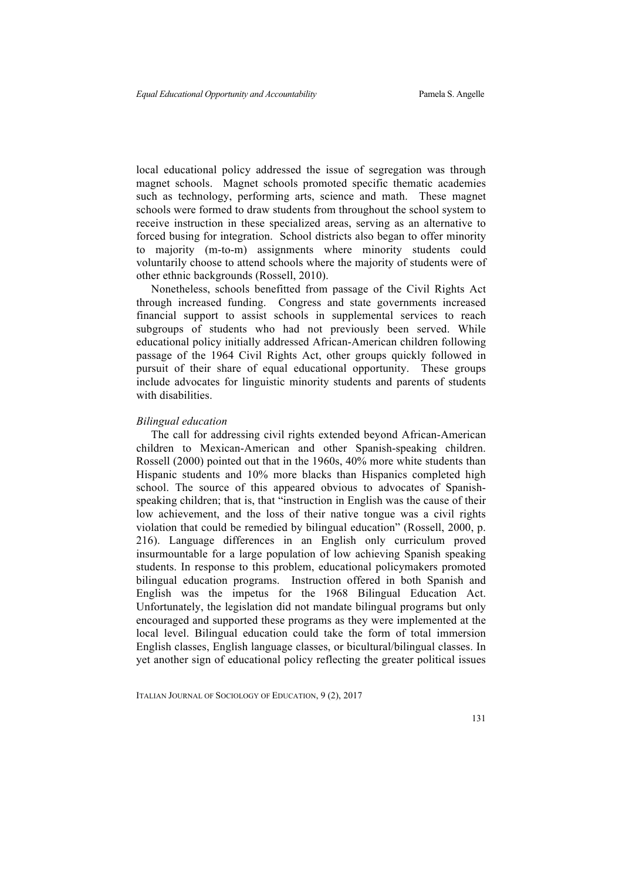local educational policy addressed the issue of segregation was through magnet schools. Magnet schools promoted specific thematic academies such as technology, performing arts, science and math. These magnet schools were formed to draw students from throughout the school system to receive instruction in these specialized areas, serving as an alternative to forced busing for integration. School districts also began to offer minority to majority (m-to-m) assignments where minority students could voluntarily choose to attend schools where the majority of students were of other ethnic backgrounds (Rossell, 2010).

Nonetheless, schools benefitted from passage of the Civil Rights Act through increased funding. Congress and state governments increased financial support to assist schools in supplemental services to reach subgroups of students who had not previously been served. While educational policy initially addressed African-American children following passage of the 1964 Civil Rights Act, other groups quickly followed in pursuit of their share of equal educational opportunity. These groups include advocates for linguistic minority students and parents of students with disabilities

#### *Bilingual education*

The call for addressing civil rights extended beyond African-American children to Mexican-American and other Spanish-speaking children. Rossell (2000) pointed out that in the 1960s, 40% more white students than Hispanic students and 10% more blacks than Hispanics completed high school. The source of this appeared obvious to advocates of Spanishspeaking children; that is, that "instruction in English was the cause of their low achievement, and the loss of their native tongue was a civil rights violation that could be remedied by bilingual education" (Rossell, 2000, p. 216). Language differences in an English only curriculum proved insurmountable for a large population of low achieving Spanish speaking students. In response to this problem, educational policymakers promoted bilingual education programs. Instruction offered in both Spanish and English was the impetus for the 1968 Bilingual Education Act. Unfortunately, the legislation did not mandate bilingual programs but only encouraged and supported these programs as they were implemented at the local level. Bilingual education could take the form of total immersion English classes, English language classes, or bicultural/bilingual classes. In yet another sign of educational policy reflecting the greater political issues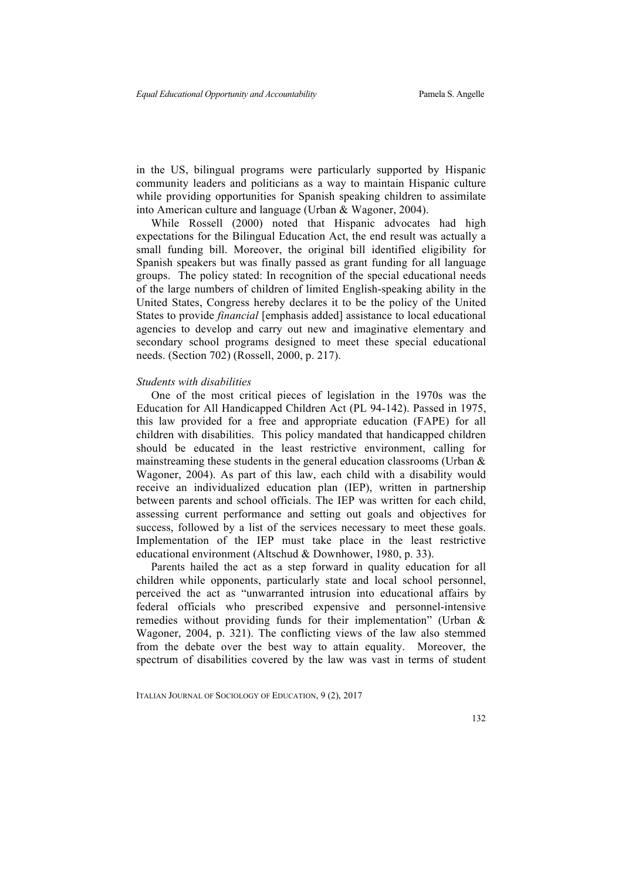in the US, bilingual programs were particularly supported by Hispanic community leaders and politicians as a way to maintain Hispanic culture while providing opportunities for Spanish speaking children to assimilate into American culture and language (Urban & Wagoner, 2004).

While Rossell (2000) noted that Hispanic advocates had high expectations for the Bilingual Education Act, the end result was actually a small funding bill. Moreover, the original bill identified eligibility for Spanish speakers but was finally passed as grant funding for all language groups. The policy stated: In recognition of the special educational needs of the large numbers of children of limited English-speaking ability in the United States, Congress hereby declares it to be the policy of the United States to provide *financial* [emphasis added] assistance to local educational agencies to develop and carry out new and imaginative elementary and secondary school programs designed to meet these special educational needs. (Section 702) (Rossell, 2000, p. 217).

#### *Students with disabilities*

One of the most critical pieces of legislation in the 1970s was the Education for All Handicapped Children Act (PL 94-142). Passed in 1975, this law provided for a free and appropriate education (FAPE) for all children with disabilities. This policy mandated that handicapped children should be educated in the least restrictive environment, calling for mainstreaming these students in the general education classrooms (Urban  $\&$ Wagoner, 2004). As part of this law, each child with a disability would receive an individualized education plan (IEP), written in partnership between parents and school officials. The IEP was written for each child, assessing current performance and setting out goals and objectives for success, followed by a list of the services necessary to meet these goals. Implementation of the IEP must take place in the least restrictive educational environment (Altschud & Downhower, 1980, p. 33).

Parents hailed the act as a step forward in quality education for all children while opponents, particularly state and local school personnel, perceived the act as "unwarranted intrusion into educational affairs by federal officials who prescribed expensive and personnel-intensive remedies without providing funds for their implementation" (Urban & Wagoner, 2004, p. 321). The conflicting views of the law also stemmed from the debate over the best way to attain equality. Moreover, the spectrum of disabilities covered by the law was vast in terms of student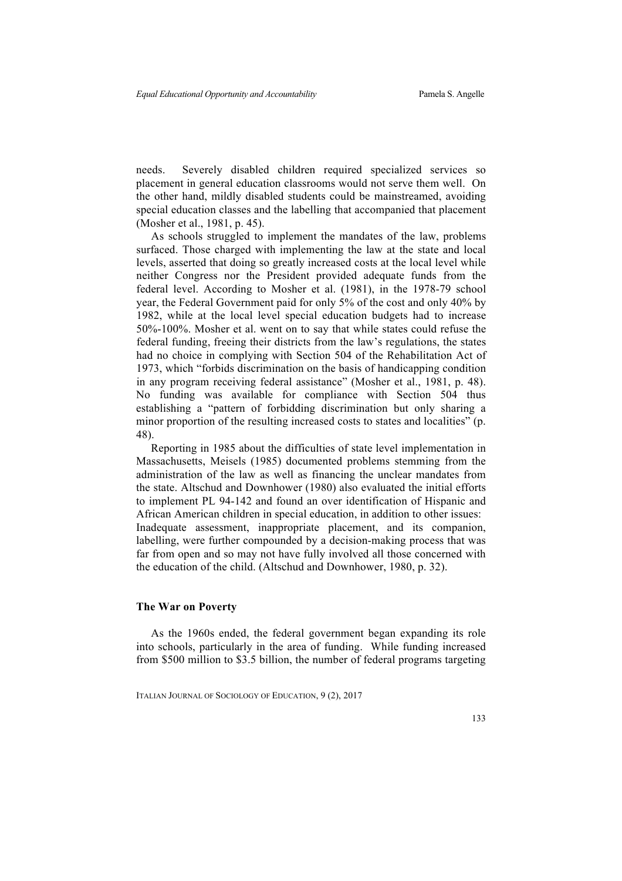needs. Severely disabled children required specialized services so placement in general education classrooms would not serve them well. On the other hand, mildly disabled students could be mainstreamed, avoiding special education classes and the labelling that accompanied that placement (Mosher et al., 1981, p. 45).

As schools struggled to implement the mandates of the law, problems surfaced. Those charged with implementing the law at the state and local levels, asserted that doing so greatly increased costs at the local level while neither Congress nor the President provided adequate funds from the federal level. According to Mosher et al. (1981), in the 1978-79 school year, the Federal Government paid for only 5% of the cost and only 40% by 1982, while at the local level special education budgets had to increase 50%-100%. Mosher et al. went on to say that while states could refuse the federal funding, freeing their districts from the law's regulations, the states had no choice in complying with Section 504 of the Rehabilitation Act of 1973, which "forbids discrimination on the basis of handicapping condition in any program receiving federal assistance" (Mosher et al., 1981, p. 48). No funding was available for compliance with Section 504 thus establishing a "pattern of forbidding discrimination but only sharing a minor proportion of the resulting increased costs to states and localities" (p. 48).

Reporting in 1985 about the difficulties of state level implementation in Massachusetts, Meisels (1985) documented problems stemming from the administration of the law as well as financing the unclear mandates from the state. Altschud and Downhower (1980) also evaluated the initial efforts to implement PL 94-142 and found an over identification of Hispanic and African American children in special education, in addition to other issues: Inadequate assessment, inappropriate placement, and its companion, labelling, were further compounded by a decision-making process that was far from open and so may not have fully involved all those concerned with the education of the child. (Altschud and Downhower, 1980, p. 32).

#### **The War on Poverty**

As the 1960s ended, the federal government began expanding its role into schools, particularly in the area of funding. While funding increased from \$500 million to \$3.5 billion, the number of federal programs targeting

ITALIAN JOURNAL OF SOCIOLOGY OF EDUCATION, 9 (2), 2017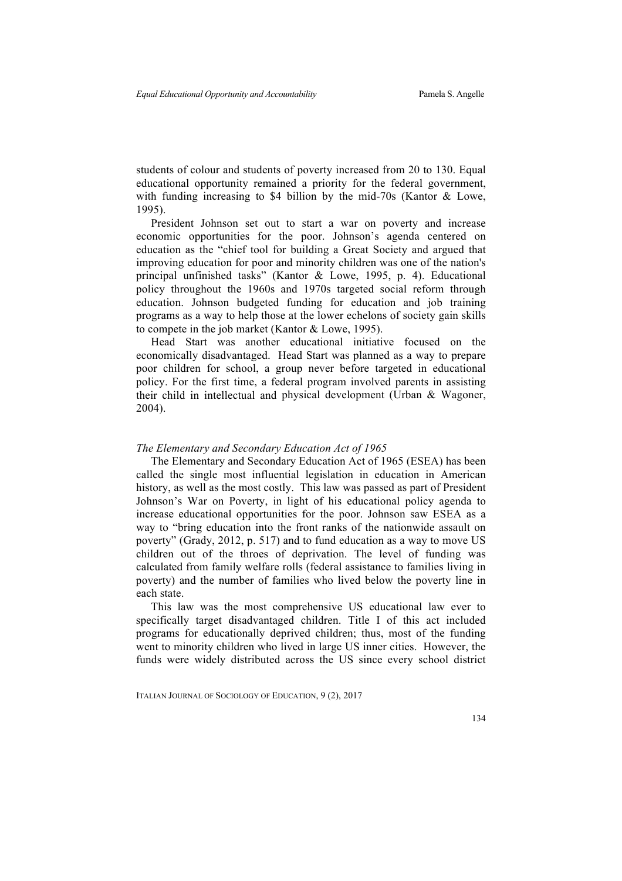students of colour and students of poverty increased from 20 to 130. Equal educational opportunity remained a priority for the federal government, with funding increasing to \$4 billion by the mid-70s (Kantor & Lowe, 1995).

President Johnson set out to start a war on poverty and increase economic opportunities for the poor. Johnson's agenda centered on education as the "chief tool for building a Great Society and argued that improving education for poor and minority children was one of the nation's principal unfinished tasks" (Kantor & Lowe, 1995, p. 4). Educational policy throughout the 1960s and 1970s targeted social reform through education. Johnson budgeted funding for education and job training programs as a way to help those at the lower echelons of society gain skills to compete in the job market (Kantor & Lowe, 1995).

Head Start was another educational initiative focused on the economically disadvantaged. Head Start was planned as a way to prepare poor children for school, a group never before targeted in educational policy. For the first time, a federal program involved parents in assisting their child in intellectual and physical development (Urban & Wagoner, 2004).

#### *The Elementary and Secondary Education Act of 1965*

The Elementary and Secondary Education Act of 1965 (ESEA) has been called the single most influential legislation in education in American history, as well as the most costly. This law was passed as part of President Johnson's War on Poverty, in light of his educational policy agenda to increase educational opportunities for the poor. Johnson saw ESEA as a way to "bring education into the front ranks of the nationwide assault on poverty" (Grady, 2012, p. 517) and to fund education as a way to move US children out of the throes of deprivation. The level of funding was calculated from family welfare rolls (federal assistance to families living in poverty) and the number of families who lived below the poverty line in each state.

This law was the most comprehensive US educational law ever to specifically target disadvantaged children. Title I of this act included programs for educationally deprived children; thus, most of the funding went to minority children who lived in large US inner cities. However, the funds were widely distributed across the US since every school district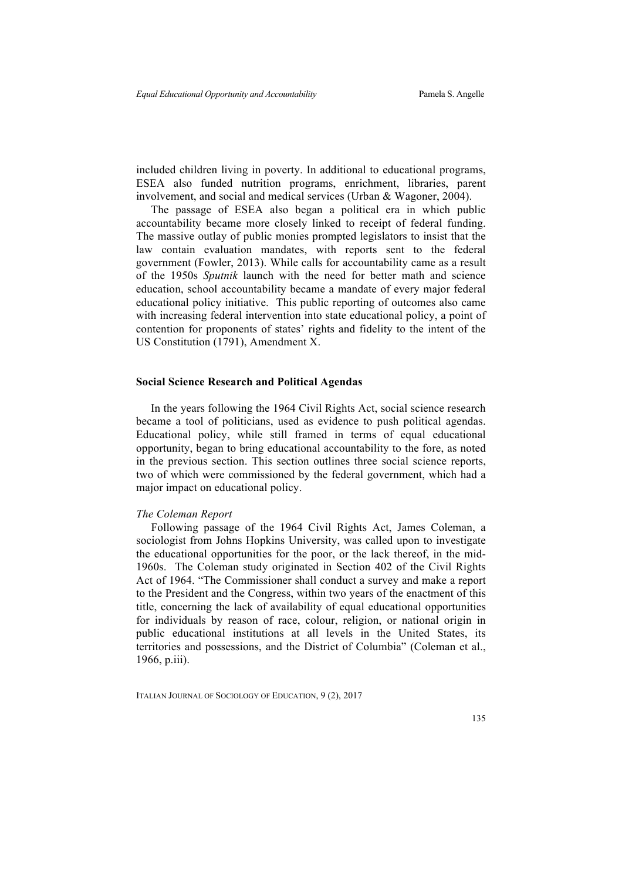included children living in poverty. In additional to educational programs, ESEA also funded nutrition programs, enrichment, libraries, parent involvement, and social and medical services (Urban & Wagoner, 2004).

The passage of ESEA also began a political era in which public accountability became more closely linked to receipt of federal funding. The massive outlay of public monies prompted legislators to insist that the law contain evaluation mandates, with reports sent to the federal government (Fowler, 2013). While calls for accountability came as a result of the 1950s *Sputnik* launch with the need for better math and science education, school accountability became a mandate of every major federal educational policy initiative. This public reporting of outcomes also came with increasing federal intervention into state educational policy, a point of contention for proponents of states' rights and fidelity to the intent of the US Constitution (1791), Amendment X.

#### **Social Science Research and Political Agendas**

In the years following the 1964 Civil Rights Act, social science research became a tool of politicians, used as evidence to push political agendas. Educational policy, while still framed in terms of equal educational opportunity, began to bring educational accountability to the fore, as noted in the previous section. This section outlines three social science reports, two of which were commissioned by the federal government, which had a major impact on educational policy.

#### *The Coleman Report*

Following passage of the 1964 Civil Rights Act, James Coleman, a sociologist from Johns Hopkins University, was called upon to investigate the educational opportunities for the poor, or the lack thereof, in the mid-1960s. The Coleman study originated in Section 402 of the Civil Rights Act of 1964. "The Commissioner shall conduct a survey and make a report to the President and the Congress, within two years of the enactment of this title, concerning the lack of availability of equal educational opportunities for individuals by reason of race, colour, religion, or national origin in public educational institutions at all levels in the United States, its territories and possessions, and the District of Columbia" (Coleman et al., 1966, p.iii).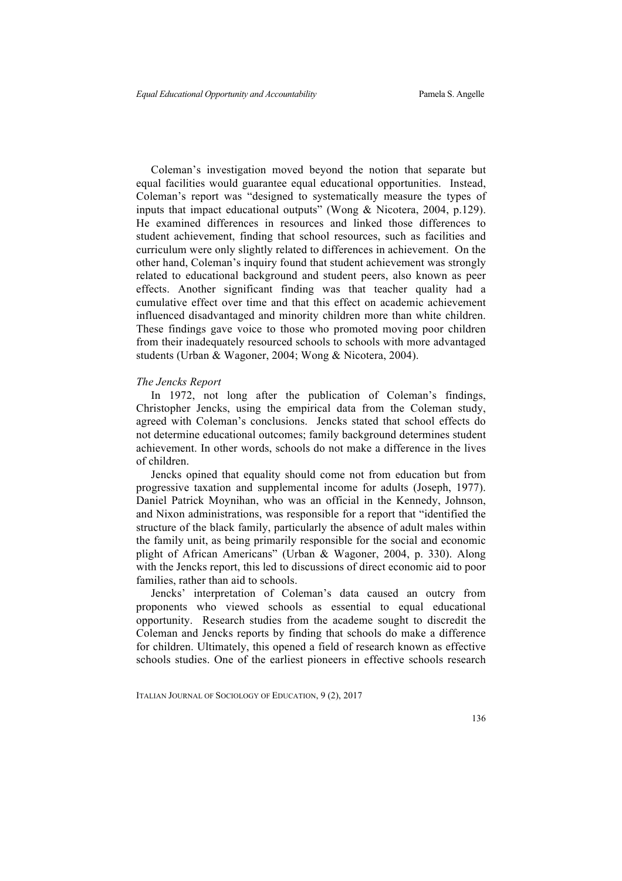Coleman's investigation moved beyond the notion that separate but equal facilities would guarantee equal educational opportunities. Instead, Coleman's report was "designed to systematically measure the types of inputs that impact educational outputs" (Wong & Nicotera, 2004, p.129). He examined differences in resources and linked those differences to student achievement, finding that school resources, such as facilities and curriculum were only slightly related to differences in achievement. On the other hand, Coleman's inquiry found that student achievement was strongly related to educational background and student peers, also known as peer effects. Another significant finding was that teacher quality had a cumulative effect over time and that this effect on academic achievement influenced disadvantaged and minority children more than white children. These findings gave voice to those who promoted moving poor children from their inadequately resourced schools to schools with more advantaged students (Urban & Wagoner, 2004; Wong & Nicotera, 2004).

#### *The Jencks Report*

In 1972, not long after the publication of Coleman's findings, Christopher Jencks, using the empirical data from the Coleman study, agreed with Coleman's conclusions. Jencks stated that school effects do not determine educational outcomes; family background determines student achievement. In other words, schools do not make a difference in the lives of children.

Jencks opined that equality should come not from education but from progressive taxation and supplemental income for adults (Joseph, 1977). Daniel Patrick Moynihan, who was an official in the Kennedy, Johnson, and Nixon administrations, was responsible for a report that "identified the structure of the black family, particularly the absence of adult males within the family unit, as being primarily responsible for the social and economic plight of African Americans" (Urban & Wagoner, 2004, p. 330). Along with the Jencks report, this led to discussions of direct economic aid to poor families, rather than aid to schools.

Jencks' interpretation of Coleman's data caused an outcry from proponents who viewed schools as essential to equal educational opportunity. Research studies from the academe sought to discredit the Coleman and Jencks reports by finding that schools do make a difference for children. Ultimately, this opened a field of research known as effective schools studies. One of the earliest pioneers in effective schools research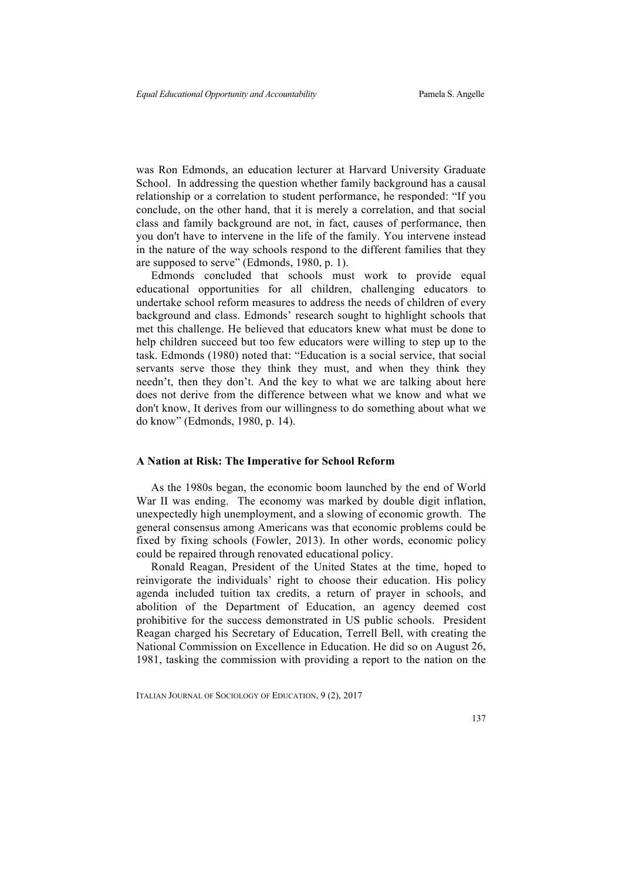was Ron Edmonds, an education lecturer at Harvard University Graduate School. In addressing the question whether family background has a causal relationship or a correlation to student performance, he responded: "If you conclude, on the other hand, that it is merely a correlation, and that social class and family background are not, in fact, causes of performance, then you don't have to intervene in the life of the family. You intervene instead in the nature of the way schools respond to the different families that they are supposed to serve" (Edmonds, 1980, p. 1).

Edmonds concluded that schools must work to provide equal educational opportunities for all children, challenging educators to undertake school reform measures to address the needs of children of every background and class. Edmonds' research sought to highlight schools that met this challenge. He believed that educators knew what must be done to help children succeed but too few educators were willing to step up to the task. Edmonds (1980) noted that: "Education is a social service, that social servants serve those they think they must, and when they think they needn't, then they don't. And the key to what we are talking about here does not derive from the difference between what we know and what we don't know, It derives from our willingness to do something about what we do know" (Edmonds, 1980, p. 14).

#### **A Nation at Risk: The Imperative for School Reform**

As the 1980s began, the economic boom launched by the end of World War II was ending. The economy was marked by double digit inflation, unexpectedly high unemployment, and a slowing of economic growth. The general consensus among Americans was that economic problems could be fixed by fixing schools (Fowler, 2013). In other words, economic policy could be repaired through renovated educational policy.

Ronald Reagan, President of the United States at the time, hoped to reinvigorate the individuals' right to choose their education. His policy agenda included tuition tax credits, a return of prayer in schools, and abolition of the Department of Education, an agency deemed cost prohibitive for the success demonstrated in US public schools. President Reagan charged his Secretary of Education, Terrell Bell, with creating the National Commission on Excellence in Education. He did so on August 26, 1981, tasking the commission with providing a report to the nation on the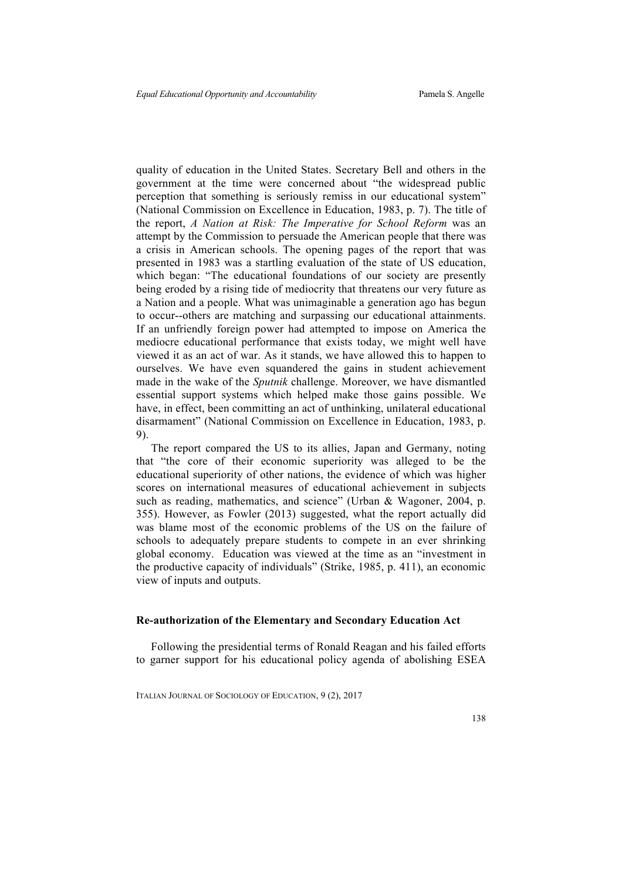quality of education in the United States. Secretary Bell and others in the government at the time were concerned about "the widespread public perception that something is seriously remiss in our educational system" (National Commission on Excellence in Education, 1983, p. 7). The title of the report, *A Nation at Risk: The Imperative for School Reform* was an attempt by the Commission to persuade the American people that there was a crisis in American schools. The opening pages of the report that was presented in 1983 was a startling evaluation of the state of US education, which began: "The educational foundations of our society are presently being eroded by a rising tide of mediocrity that threatens our very future as a Nation and a people. What was unimaginable a generation ago has begun to occur--others are matching and surpassing our educational attainments. If an unfriendly foreign power had attempted to impose on America the mediocre educational performance that exists today, we might well have viewed it as an act of war. As it stands, we have allowed this to happen to ourselves. We have even squandered the gains in student achievement made in the wake of the *Sputnik* challenge. Moreover, we have dismantled essential support systems which helped make those gains possible. We have, in effect, been committing an act of unthinking, unilateral educational disarmament" (National Commission on Excellence in Education, 1983, p. 9).

The report compared the US to its allies, Japan and Germany, noting that "the core of their economic superiority was alleged to be the educational superiority of other nations, the evidence of which was higher scores on international measures of educational achievement in subjects such as reading, mathematics, and science" (Urban & Wagoner, 2004, p. 355). However, as Fowler (2013) suggested, what the report actually did was blame most of the economic problems of the US on the failure of schools to adequately prepare students to compete in an ever shrinking global economy. Education was viewed at the time as an "investment in the productive capacity of individuals" (Strike, 1985, p. 411), an economic view of inputs and outputs.

#### **Re-authorization of the Elementary and Secondary Education Act**

Following the presidential terms of Ronald Reagan and his failed efforts to garner support for his educational policy agenda of abolishing ESEA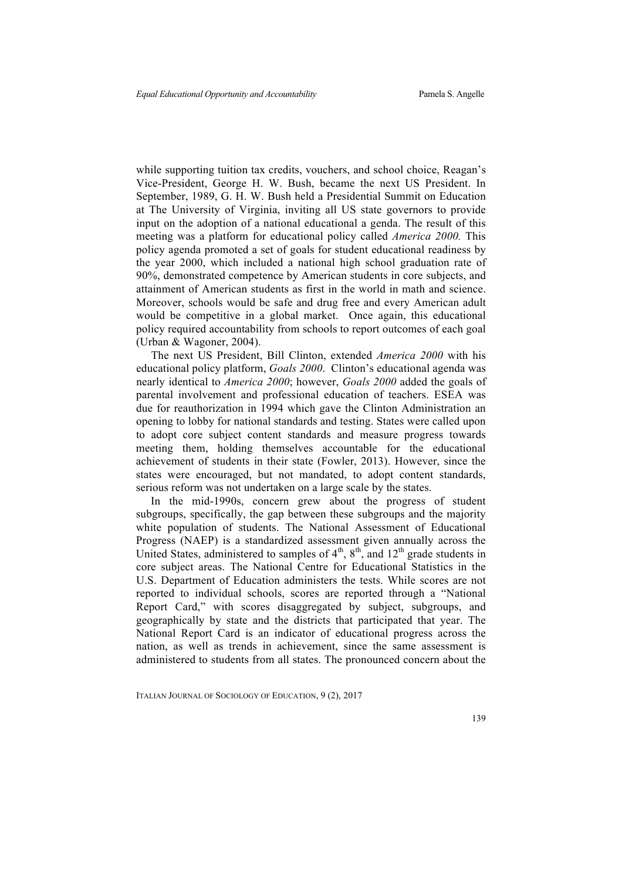while supporting tuition tax credits, vouchers, and school choice, Reagan's Vice-President, George H. W. Bush, became the next US President. In September, 1989, G. H. W. Bush held a Presidential Summit on Education at The University of Virginia, inviting all US state governors to provide input on the adoption of a national educational a genda. The result of this meeting was a platform for educational policy called *America 2000.* This policy agenda promoted a set of goals for student educational readiness by the year 2000, which included a national high school graduation rate of 90%, demonstrated competence by American students in core subjects, and attainment of American students as first in the world in math and science. Moreover, schools would be safe and drug free and every American adult would be competitive in a global market. Once again, this educational policy required accountability from schools to report outcomes of each goal (Urban & Wagoner, 2004).

The next US President, Bill Clinton, extended *America 2000* with his educational policy platform, *Goals 2000*. Clinton's educational agenda was nearly identical to *America 2000*; however, *Goals 2000* added the goals of parental involvement and professional education of teachers. ESEA was due for reauthorization in 1994 which gave the Clinton Administration an opening to lobby for national standards and testing. States were called upon to adopt core subject content standards and measure progress towards meeting them, holding themselves accountable for the educational achievement of students in their state (Fowler, 2013). However, since the states were encouraged, but not mandated, to adopt content standards, serious reform was not undertaken on a large scale by the states.

In the mid-1990s, concern grew about the progress of student subgroups, specifically, the gap between these subgroups and the majority white population of students. The National Assessment of Educational Progress (NAEP) is a standardized assessment given annually across the United States, administered to samples of  $4<sup>th</sup>$ ,  $8<sup>th</sup>$ , and  $12<sup>th</sup>$  grade students in core subject areas. The National Centre for Educational Statistics in the U.S. Department of Education administers the tests. While scores are not reported to individual schools, scores are reported through a "National Report Card," with scores disaggregated by subject, subgroups, and geographically by state and the districts that participated that year. The National Report Card is an indicator of educational progress across the nation, as well as trends in achievement, since the same assessment is administered to students from all states. The pronounced concern about the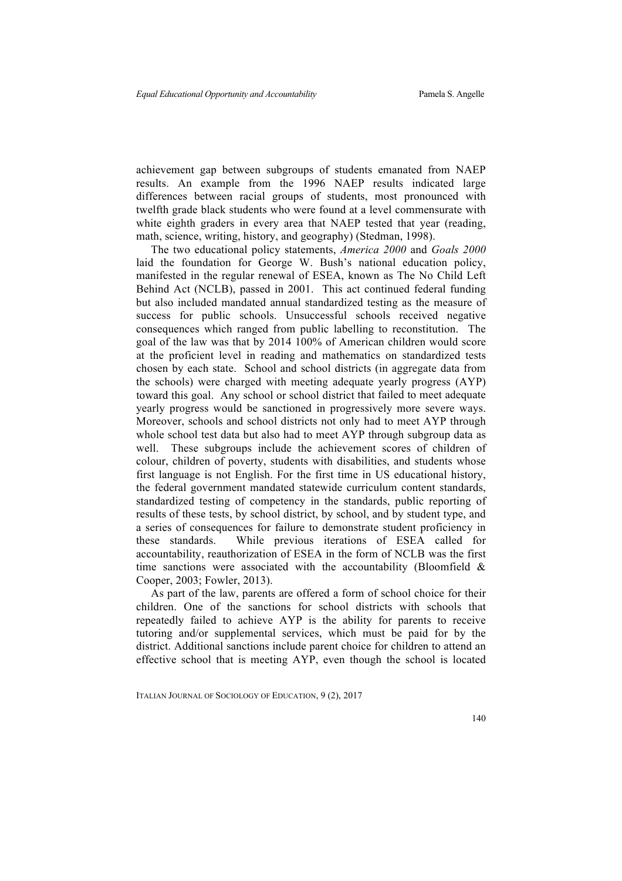achievement gap between subgroups of students emanated from NAEP results. An example from the 1996 NAEP results indicated large differences between racial groups of students, most pronounced with twelfth grade black students who were found at a level commensurate with white eighth graders in every area that NAEP tested that year (reading, math, science, writing, history, and geography) (Stedman, 1998).

The two educational policy statements, *America 2000* and *Goals 2000* laid the foundation for George W. Bush's national education policy, manifested in the regular renewal of ESEA, known as The No Child Left Behind Act (NCLB), passed in 2001. This act continued federal funding but also included mandated annual standardized testing as the measure of success for public schools. Unsuccessful schools received negative consequences which ranged from public labelling to reconstitution. The goal of the law was that by 2014 100% of American children would score at the proficient level in reading and mathematics on standardized tests chosen by each state. School and school districts (in aggregate data from the schools) were charged with meeting adequate yearly progress (AYP) toward this goal. Any school or school district that failed to meet adequate yearly progress would be sanctioned in progressively more severe ways. Moreover, schools and school districts not only had to meet AYP through whole school test data but also had to meet AYP through subgroup data as well. These subgroups include the achievement scores of children of colour, children of poverty, students with disabilities, and students whose first language is not English. For the first time in US educational history, the federal government mandated statewide curriculum content standards, standardized testing of competency in the standards, public reporting of results of these tests, by school district, by school, and by student type, and a series of consequences for failure to demonstrate student proficiency in these standards. While previous iterations of ESEA called for accountability, reauthorization of ESEA in the form of NCLB was the first time sanctions were associated with the accountability (Bloomfield  $\&$ Cooper, 2003; Fowler, 2013).

As part of the law, parents are offered a form of school choice for their children. One of the sanctions for school districts with schools that repeatedly failed to achieve AYP is the ability for parents to receive tutoring and/or supplemental services, which must be paid for by the district. Additional sanctions include parent choice for children to attend an effective school that is meeting AYP, even though the school is located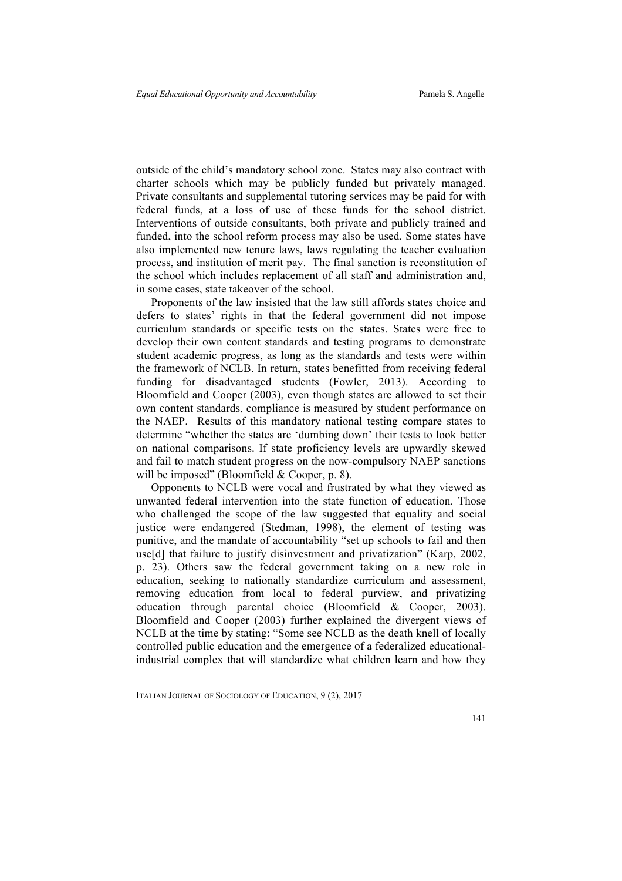outside of the child's mandatory school zone. States may also contract with charter schools which may be publicly funded but privately managed. Private consultants and supplemental tutoring services may be paid for with federal funds, at a loss of use of these funds for the school district. Interventions of outside consultants, both private and publicly trained and funded, into the school reform process may also be used. Some states have also implemented new tenure laws, laws regulating the teacher evaluation process, and institution of merit pay. The final sanction is reconstitution of the school which includes replacement of all staff and administration and, in some cases, state takeover of the school.

Proponents of the law insisted that the law still affords states choice and defers to states' rights in that the federal government did not impose curriculum standards or specific tests on the states. States were free to develop their own content standards and testing programs to demonstrate student academic progress, as long as the standards and tests were within the framework of NCLB. In return, states benefitted from receiving federal funding for disadvantaged students (Fowler, 2013). According to Bloomfield and Cooper (2003), even though states are allowed to set their own content standards, compliance is measured by student performance on the NAEP. Results of this mandatory national testing compare states to determine "whether the states are 'dumbing down' their tests to look better on national comparisons. If state proficiency levels are upwardly skewed and fail to match student progress on the now-compulsory NAEP sanctions will be imposed" (Bloomfield & Cooper, p. 8).

Opponents to NCLB were vocal and frustrated by what they viewed as unwanted federal intervention into the state function of education. Those who challenged the scope of the law suggested that equality and social justice were endangered (Stedman, 1998), the element of testing was punitive, and the mandate of accountability "set up schools to fail and then use[d] that failure to justify disinvestment and privatization" (Karp, 2002, p. 23). Others saw the federal government taking on a new role in education, seeking to nationally standardize curriculum and assessment, removing education from local to federal purview, and privatizing education through parental choice (Bloomfield & Cooper, 2003). Bloomfield and Cooper (2003) further explained the divergent views of NCLB at the time by stating: "Some see NCLB as the death knell of locally controlled public education and the emergence of a federalized educationalindustrial complex that will standardize what children learn and how they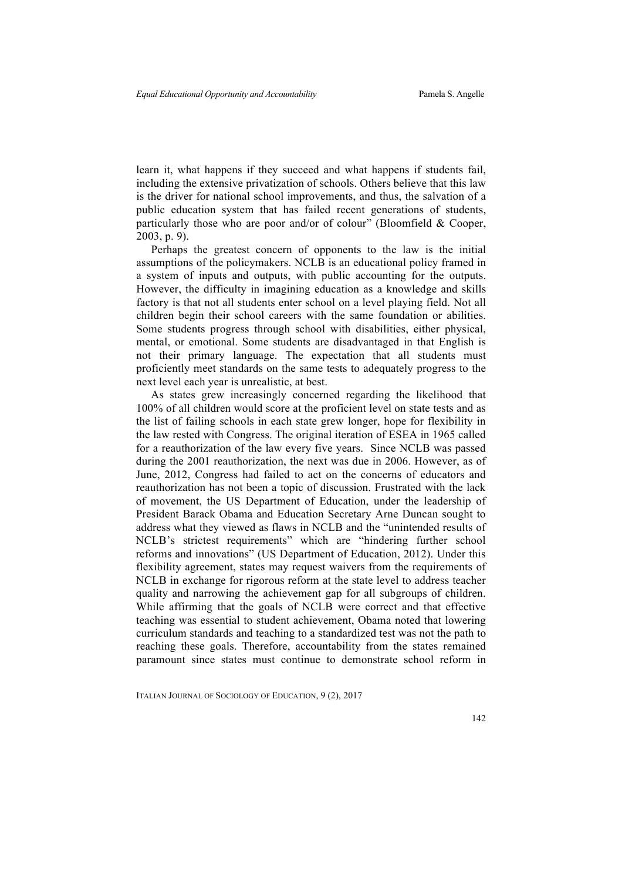learn it, what happens if they succeed and what happens if students fail, including the extensive privatization of schools. Others believe that this law is the driver for national school improvements, and thus, the salvation of a public education system that has failed recent generations of students, particularly those who are poor and/or of colour" (Bloomfield & Cooper, 2003, p. 9).

Perhaps the greatest concern of opponents to the law is the initial assumptions of the policymakers. NCLB is an educational policy framed in a system of inputs and outputs, with public accounting for the outputs. However, the difficulty in imagining education as a knowledge and skills factory is that not all students enter school on a level playing field. Not all children begin their school careers with the same foundation or abilities. Some students progress through school with disabilities, either physical, mental, or emotional. Some students are disadvantaged in that English is not their primary language. The expectation that all students must proficiently meet standards on the same tests to adequately progress to the next level each year is unrealistic, at best.

As states grew increasingly concerned regarding the likelihood that 100% of all children would score at the proficient level on state tests and as the list of failing schools in each state grew longer, hope for flexibility in the law rested with Congress. The original iteration of ESEA in 1965 called for a reauthorization of the law every five years. Since NCLB was passed during the 2001 reauthorization, the next was due in 2006. However, as of June, 2012, Congress had failed to act on the concerns of educators and reauthorization has not been a topic of discussion. Frustrated with the lack of movement, the US Department of Education, under the leadership of President Barack Obama and Education Secretary Arne Duncan sought to address what they viewed as flaws in NCLB and the "unintended results of NCLB's strictest requirements" which are "hindering further school reforms and innovations" (US Department of Education, 2012). Under this flexibility agreement, states may request waivers from the requirements of NCLB in exchange for rigorous reform at the state level to address teacher quality and narrowing the achievement gap for all subgroups of children. While affirming that the goals of NCLB were correct and that effective teaching was essential to student achievement, Obama noted that lowering curriculum standards and teaching to a standardized test was not the path to reaching these goals. Therefore, accountability from the states remained paramount since states must continue to demonstrate school reform in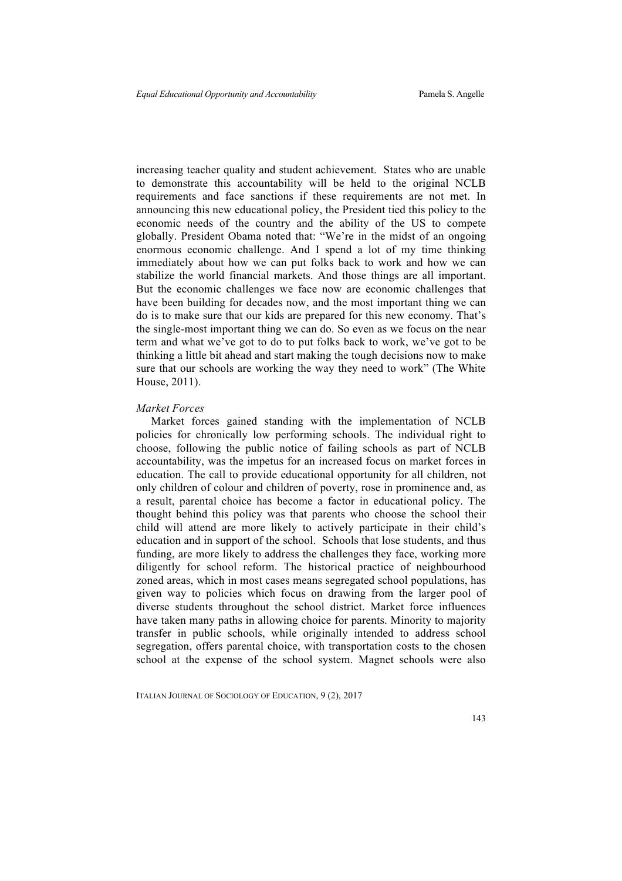increasing teacher quality and student achievement. States who are unable to demonstrate this accountability will be held to the original NCLB requirements and face sanctions if these requirements are not met. In announcing this new educational policy, the President tied this policy to the economic needs of the country and the ability of the US to compete globally. President Obama noted that: "We're in the midst of an ongoing enormous economic challenge. And I spend a lot of my time thinking immediately about how we can put folks back to work and how we can stabilize the world financial markets. And those things are all important. But the economic challenges we face now are economic challenges that have been building for decades now, and the most important thing we can do is to make sure that our kids are prepared for this new economy. That's the single-most important thing we can do. So even as we focus on the near term and what we've got to do to put folks back to work, we've got to be thinking a little bit ahead and start making the tough decisions now to make sure that our schools are working the way they need to work" (The White House, 2011).

#### *Market Forces*

Market forces gained standing with the implementation of NCLB policies for chronically low performing schools. The individual right to choose, following the public notice of failing schools as part of NCLB accountability, was the impetus for an increased focus on market forces in education. The call to provide educational opportunity for all children, not only children of colour and children of poverty, rose in prominence and, as a result, parental choice has become a factor in educational policy. The thought behind this policy was that parents who choose the school their child will attend are more likely to actively participate in their child's education and in support of the school. Schools that lose students, and thus funding, are more likely to address the challenges they face, working more diligently for school reform. The historical practice of neighbourhood zoned areas, which in most cases means segregated school populations, has given way to policies which focus on drawing from the larger pool of diverse students throughout the school district. Market force influences have taken many paths in allowing choice for parents. Minority to majority transfer in public schools, while originally intended to address school segregation, offers parental choice, with transportation costs to the chosen school at the expense of the school system. Magnet schools were also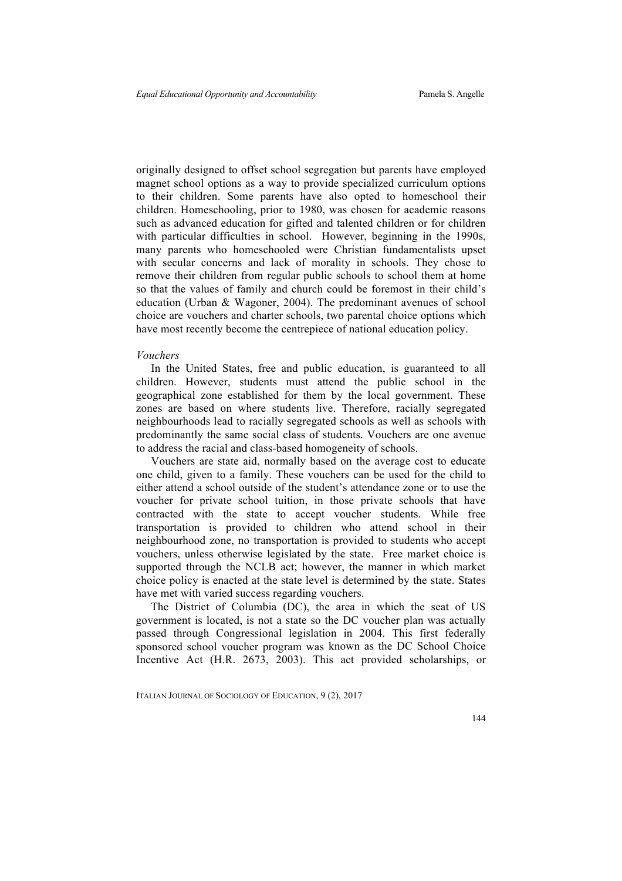originally designed to offset school segregation but parents have employed magnet school options as a way to provide specialized curriculum options to their children. Some parents have also opted to homeschool their children. Homeschooling, prior to 1980, was chosen for academic reasons such as advanced education for gifted and talented children or for children with particular difficulties in school. However, beginning in the 1990s, many parents who homeschooled were Christian fundamentalists upset with secular concerns and lack of morality in schools. They chose to remove their children from regular public schools to school them at home so that the values of family and church could be foremost in their child's education (Urban & Wagoner, 2004). The predominant avenues of school choice are vouchers and charter schools, two parental choice options which have most recently become the centrepiece of national education policy.

#### *Vouchers*

In the United States, free and public education, is guaranteed to all children. However, students must attend the public school in the geographical zone established for them by the local government. These zones are based on where students live. Therefore, racially segregated neighbourhoods lead to racially segregated schools as well as schools with predominantly the same social class of students. Vouchers are one avenue to address the racial and class-based homogeneity of schools.

Vouchers are state aid, normally based on the average cost to educate one child, given to a family. These vouchers can be used for the child to either attend a school outside of the student's attendance zone or to use the voucher for private school tuition, in those private schools that have contracted with the state to accept voucher students. While free transportation is provided to children who attend school in their neighbourhood zone, no transportation is provided to students who accept vouchers, unless otherwise legislated by the state. Free market choice is supported through the NCLB act; however, the manner in which market choice policy is enacted at the state level is determined by the state. States have met with varied success regarding vouchers.

The District of Columbia (DC), the area in which the seat of US government is located, is not a state so the DC voucher plan was actually passed through Congressional legislation in 2004. This first federally sponsored school voucher program was known as the DC School Choice Incentive Act (H.R. 2673, 2003). This act provided scholarships, or

ITALIAN JOURNAL OF SOCIOLOGY OF EDUCATION, 9 (2), 2017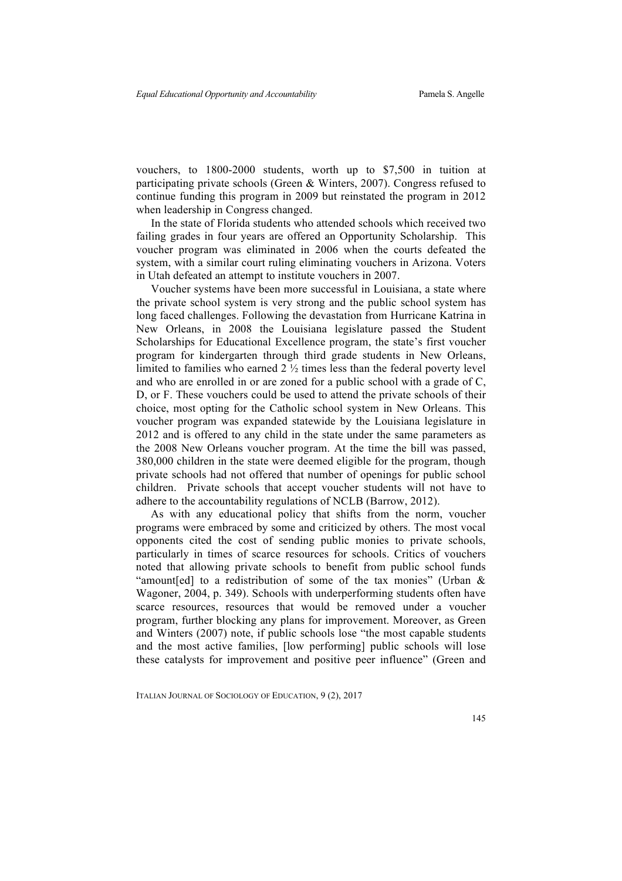vouchers, to 1800-2000 students, worth up to \$7,500 in tuition at participating private schools (Green & Winters, 2007). Congress refused to continue funding this program in 2009 but reinstated the program in 2012 when leadership in Congress changed.

In the state of Florida students who attended schools which received two failing grades in four years are offered an Opportunity Scholarship. This voucher program was eliminated in 2006 when the courts defeated the system, with a similar court ruling eliminating vouchers in Arizona. Voters in Utah defeated an attempt to institute vouchers in 2007.

Voucher systems have been more successful in Louisiana, a state where the private school system is very strong and the public school system has long faced challenges. Following the devastation from Hurricane Katrina in New Orleans, in 2008 the Louisiana legislature passed the Student Scholarships for Educational Excellence program, the state's first voucher program for kindergarten through third grade students in New Orleans, limited to families who earned 2 ½ times less than the federal poverty level and who are enrolled in or are zoned for a public school with a grade of C, D, or F. These vouchers could be used to attend the private schools of their choice, most opting for the Catholic school system in New Orleans. This voucher program was expanded statewide by the Louisiana legislature in 2012 and is offered to any child in the state under the same parameters as the 2008 New Orleans voucher program. At the time the bill was passed, 380,000 children in the state were deemed eligible for the program, though private schools had not offered that number of openings for public school children. Private schools that accept voucher students will not have to adhere to the accountability regulations of NCLB (Barrow, 2012).

As with any educational policy that shifts from the norm, voucher programs were embraced by some and criticized by others. The most vocal opponents cited the cost of sending public monies to private schools, particularly in times of scarce resources for schools. Critics of vouchers noted that allowing private schools to benefit from public school funds "amount[ed] to a redistribution of some of the tax monies" (Urban & Wagoner, 2004, p. 349). Schools with underperforming students often have scarce resources, resources that would be removed under a voucher program, further blocking any plans for improvement. Moreover, as Green and Winters (2007) note, if public schools lose "the most capable students and the most active families, [low performing] public schools will lose these catalysts for improvement and positive peer influence" (Green and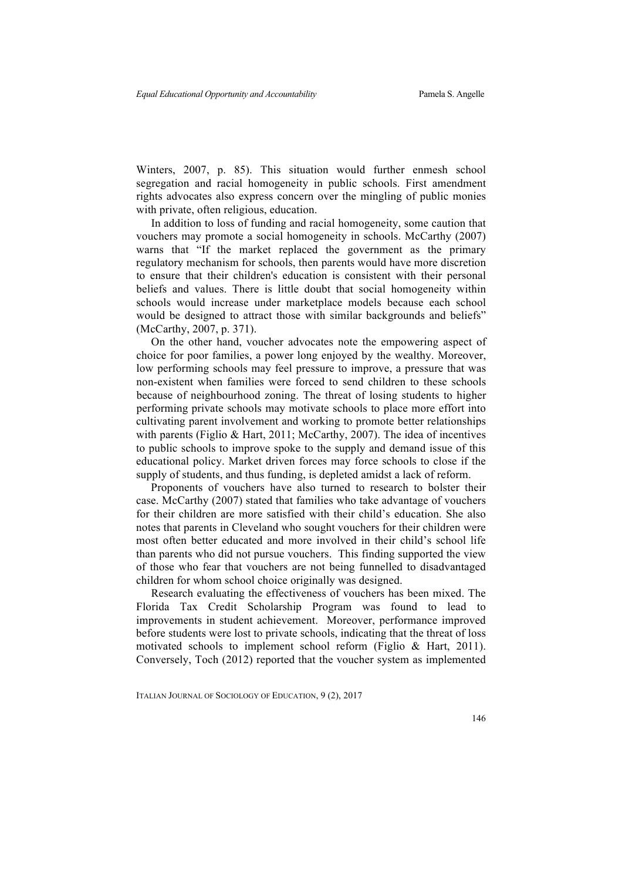Winters, 2007, p. 85). This situation would further enmesh school segregation and racial homogeneity in public schools. First amendment rights advocates also express concern over the mingling of public monies with private, often religious, education.

In addition to loss of funding and racial homogeneity, some caution that vouchers may promote a social homogeneity in schools. McCarthy (2007) warns that "If the market replaced the government as the primary regulatory mechanism for schools, then parents would have more discretion to ensure that their children's education is consistent with their personal beliefs and values. There is little doubt that social homogeneity within schools would increase under marketplace models because each school would be designed to attract those with similar backgrounds and beliefs" (McCarthy, 2007, p. 371).

On the other hand, voucher advocates note the empowering aspect of choice for poor families, a power long enjoyed by the wealthy. Moreover, low performing schools may feel pressure to improve, a pressure that was non-existent when families were forced to send children to these schools because of neighbourhood zoning. The threat of losing students to higher performing private schools may motivate schools to place more effort into cultivating parent involvement and working to promote better relationships with parents (Figlio & Hart, 2011; McCarthy, 2007). The idea of incentives to public schools to improve spoke to the supply and demand issue of this educational policy. Market driven forces may force schools to close if the supply of students, and thus funding, is depleted amidst a lack of reform.

Proponents of vouchers have also turned to research to bolster their case. McCarthy (2007) stated that families who take advantage of vouchers for their children are more satisfied with their child's education. She also notes that parents in Cleveland who sought vouchers for their children were most often better educated and more involved in their child's school life than parents who did not pursue vouchers. This finding supported the view of those who fear that vouchers are not being funnelled to disadvantaged children for whom school choice originally was designed.

Research evaluating the effectiveness of vouchers has been mixed. The Florida Tax Credit Scholarship Program was found to lead to improvements in student achievement. Moreover, performance improved before students were lost to private schools, indicating that the threat of loss motivated schools to implement school reform (Figlio & Hart, 2011). Conversely, Toch (2012) reported that the voucher system as implemented

ITALIAN JOURNAL OF SOCIOLOGY OF EDUCATION, 9 (2), 2017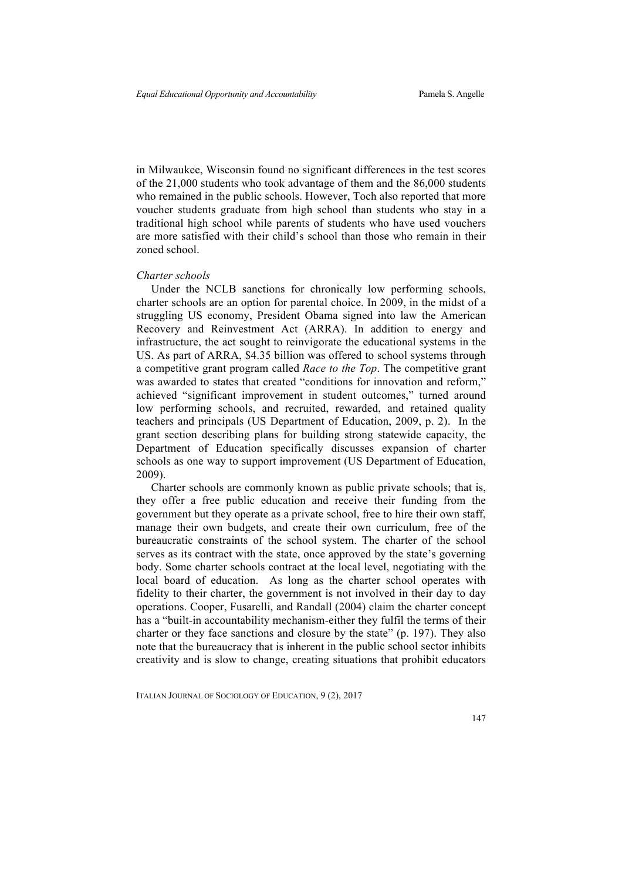in Milwaukee, Wisconsin found no significant differences in the test scores of the 21,000 students who took advantage of them and the 86,000 students who remained in the public schools. However, Toch also reported that more voucher students graduate from high school than students who stay in a traditional high school while parents of students who have used vouchers are more satisfied with their child's school than those who remain in their zoned school.

#### *Charter schools*

Under the NCLB sanctions for chronically low performing schools, charter schools are an option for parental choice. In 2009, in the midst of a struggling US economy, President Obama signed into law the American Recovery and Reinvestment Act (ARRA). In addition to energy and infrastructure, the act sought to reinvigorate the educational systems in the US. As part of ARRA, \$4.35 billion was offered to school systems through a competitive grant program called *Race to the Top*. The competitive grant was awarded to states that created "conditions for innovation and reform," achieved "significant improvement in student outcomes," turned around low performing schools, and recruited, rewarded, and retained quality teachers and principals (US Department of Education, 2009, p. 2). In the grant section describing plans for building strong statewide capacity, the Department of Education specifically discusses expansion of charter schools as one way to support improvement (US Department of Education, 2009).

Charter schools are commonly known as public private schools; that is, they offer a free public education and receive their funding from the government but they operate as a private school, free to hire their own staff, manage their own budgets, and create their own curriculum, free of the bureaucratic constraints of the school system. The charter of the school serves as its contract with the state, once approved by the state's governing body. Some charter schools contract at the local level, negotiating with the local board of education. As long as the charter school operates with fidelity to their charter, the government is not involved in their day to day operations. Cooper, Fusarelli, and Randall (2004) claim the charter concept has a "built-in accountability mechanism-either they fulfil the terms of their charter or they face sanctions and closure by the state" (p. 197). They also note that the bureaucracy that is inherent in the public school sector inhibits creativity and is slow to change, creating situations that prohibit educators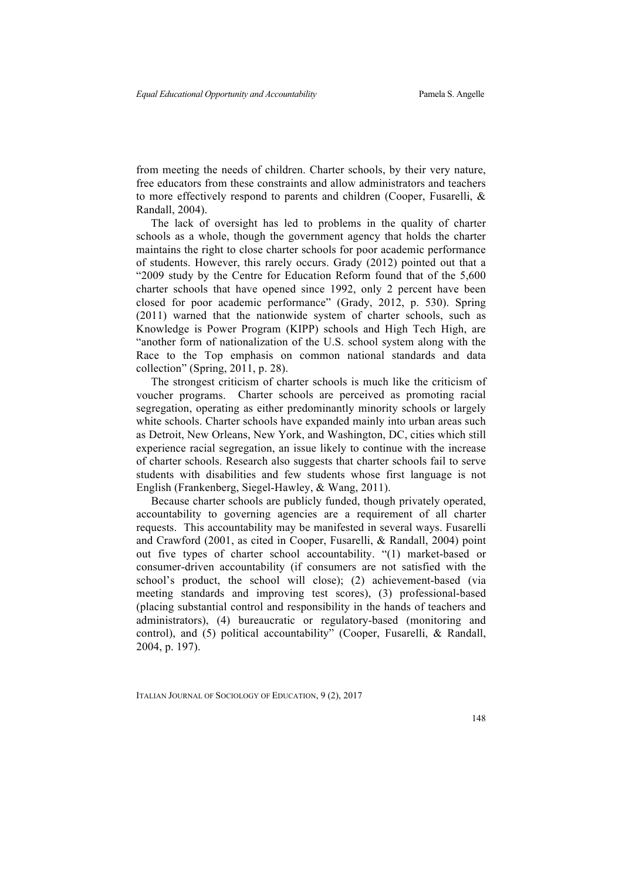from meeting the needs of children. Charter schools, by their very nature, free educators from these constraints and allow administrators and teachers to more effectively respond to parents and children (Cooper, Fusarelli, & Randall, 2004).

The lack of oversight has led to problems in the quality of charter schools as a whole, though the government agency that holds the charter maintains the right to close charter schools for poor academic performance of students. However, this rarely occurs. Grady (2012) pointed out that a "2009 study by the Centre for Education Reform found that of the 5,600 charter schools that have opened since 1992, only 2 percent have been closed for poor academic performance" (Grady, 2012, p. 530). Spring (2011) warned that the nationwide system of charter schools, such as Knowledge is Power Program (KIPP) schools and High Tech High, are "another form of nationalization of the U.S. school system along with the Race to the Top emphasis on common national standards and data collection" (Spring, 2011, p. 28).

The strongest criticism of charter schools is much like the criticism of voucher programs. Charter schools are perceived as promoting racial segregation, operating as either predominantly minority schools or largely white schools. Charter schools have expanded mainly into urban areas such as Detroit, New Orleans, New York, and Washington, DC, cities which still experience racial segregation, an issue likely to continue with the increase of charter schools. Research also suggests that charter schools fail to serve students with disabilities and few students whose first language is not English (Frankenberg, Siegel-Hawley, & Wang, 2011).

Because charter schools are publicly funded, though privately operated, accountability to governing agencies are a requirement of all charter requests. This accountability may be manifested in several ways. Fusarelli and Crawford (2001, as cited in Cooper, Fusarelli, & Randall, 2004) point out five types of charter school accountability. "(1) market-based or consumer-driven accountability (if consumers are not satisfied with the school's product, the school will close); (2) achievement-based (via meeting standards and improving test scores), (3) professional-based (placing substantial control and responsibility in the hands of teachers and administrators), (4) bureaucratic or regulatory-based (monitoring and control), and (5) political accountability" (Cooper, Fusarelli, & Randall, 2004, p. 197).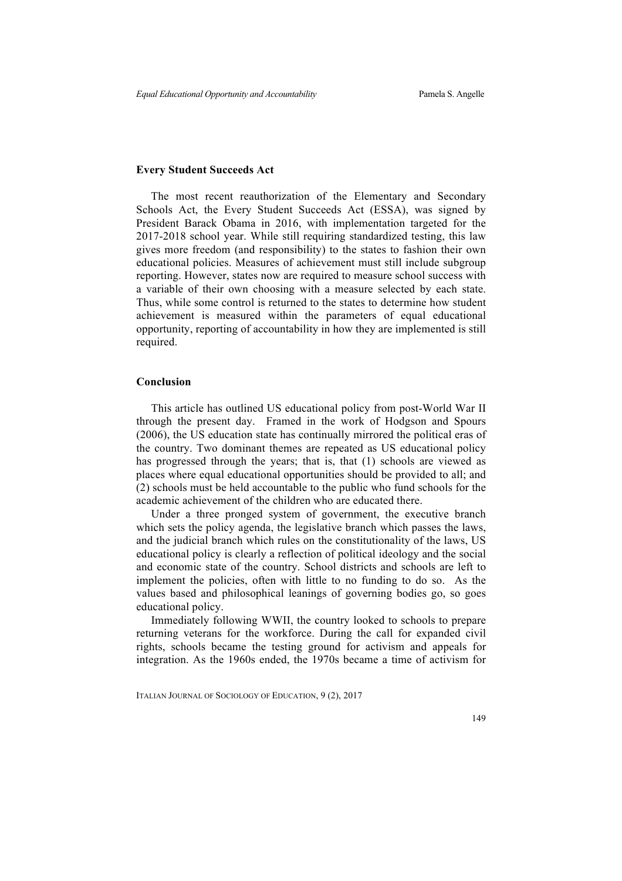#### **Every Student Succeeds Act**

The most recent reauthorization of the Elementary and Secondary Schools Act, the Every Student Succeeds Act (ESSA), was signed by President Barack Obama in 2016, with implementation targeted for the 2017-2018 school year. While still requiring standardized testing, this law gives more freedom (and responsibility) to the states to fashion their own educational policies. Measures of achievement must still include subgroup reporting. However, states now are required to measure school success with a variable of their own choosing with a measure selected by each state. Thus, while some control is returned to the states to determine how student achievement is measured within the parameters of equal educational opportunity, reporting of accountability in how they are implemented is still required.

#### **Conclusion**

This article has outlined US educational policy from post-World War II through the present day. Framed in the work of Hodgson and Spours (2006), the US education state has continually mirrored the political eras of the country. Two dominant themes are repeated as US educational policy has progressed through the years; that is, that (1) schools are viewed as places where equal educational opportunities should be provided to all; and (2) schools must be held accountable to the public who fund schools for the academic achievement of the children who are educated there.

Under a three pronged system of government, the executive branch which sets the policy agenda, the legislative branch which passes the laws, and the judicial branch which rules on the constitutionality of the laws, US educational policy is clearly a reflection of political ideology and the social and economic state of the country. School districts and schools are left to implement the policies, often with little to no funding to do so. As the values based and philosophical leanings of governing bodies go, so goes educational policy.

Immediately following WWII, the country looked to schools to prepare returning veterans for the workforce. During the call for expanded civil rights, schools became the testing ground for activism and appeals for integration. As the 1960s ended, the 1970s became a time of activism for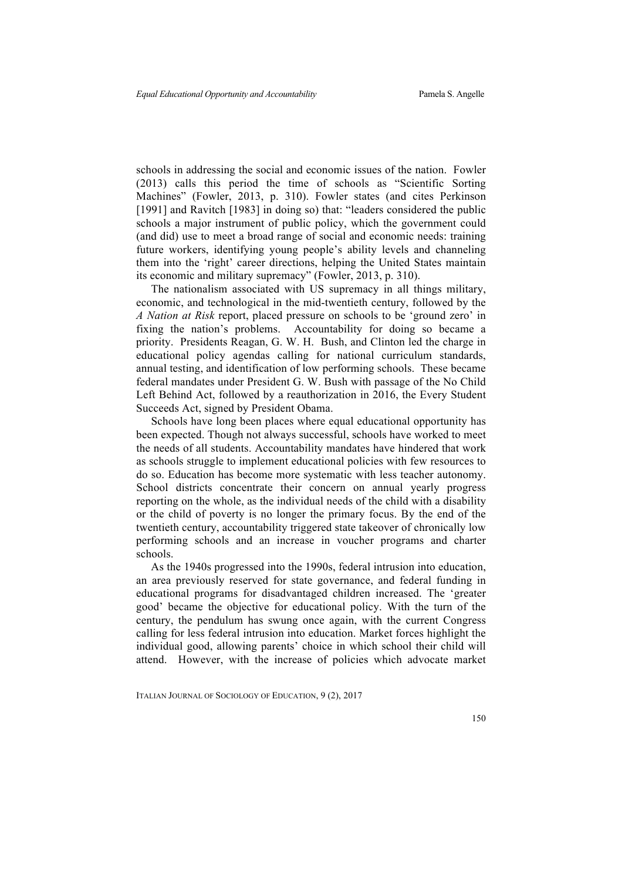schools in addressing the social and economic issues of the nation. Fowler (2013) calls this period the time of schools as "Scientific Sorting Machines" (Fowler, 2013, p. 310). Fowler states (and cites Perkinson [1991] and Ravitch [1983] in doing so) that: "leaders considered the public schools a major instrument of public policy, which the government could (and did) use to meet a broad range of social and economic needs: training future workers, identifying young people's ability levels and channeling them into the 'right' career directions, helping the United States maintain its economic and military supremacy" (Fowler, 2013, p. 310).

The nationalism associated with US supremacy in all things military, economic, and technological in the mid-twentieth century, followed by the *A Nation at Risk* report, placed pressure on schools to be 'ground zero' in fixing the nation's problems. Accountability for doing so became a priority. Presidents Reagan, G. W. H. Bush, and Clinton led the charge in educational policy agendas calling for national curriculum standards, annual testing, and identification of low performing schools. These became federal mandates under President G. W. Bush with passage of the No Child Left Behind Act, followed by a reauthorization in 2016, the Every Student Succeeds Act, signed by President Obama.

Schools have long been places where equal educational opportunity has been expected. Though not always successful, schools have worked to meet the needs of all students. Accountability mandates have hindered that work as schools struggle to implement educational policies with few resources to do so. Education has become more systematic with less teacher autonomy. School districts concentrate their concern on annual yearly progress reporting on the whole, as the individual needs of the child with a disability or the child of poverty is no longer the primary focus. By the end of the twentieth century, accountability triggered state takeover of chronically low performing schools and an increase in voucher programs and charter schools.

As the 1940s progressed into the 1990s, federal intrusion into education, an area previously reserved for state governance, and federal funding in educational programs for disadvantaged children increased. The 'greater good' became the objective for educational policy. With the turn of the century, the pendulum has swung once again, with the current Congress calling for less federal intrusion into education. Market forces highlight the individual good, allowing parents' choice in which school their child will attend. However, with the increase of policies which advocate market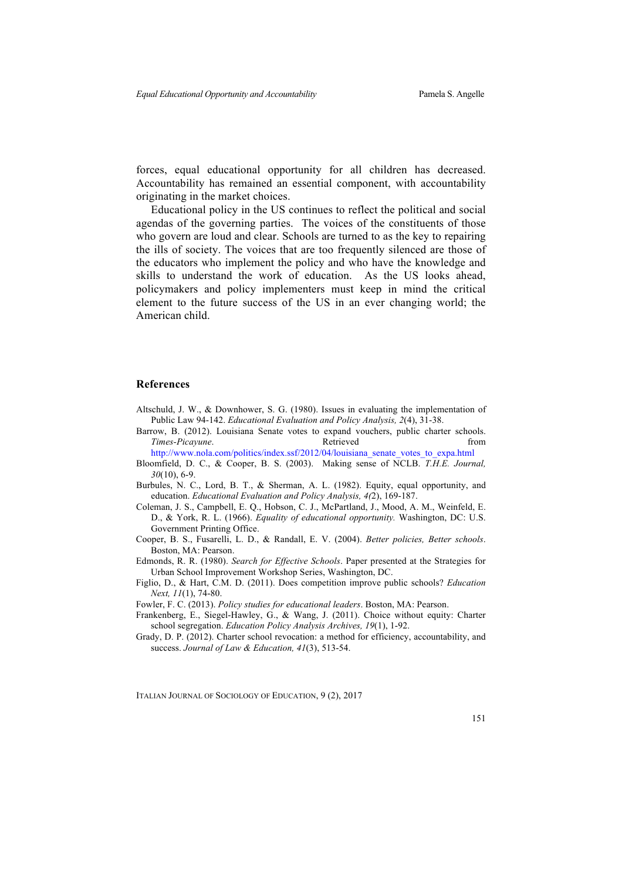forces, equal educational opportunity for all children has decreased. Accountability has remained an essential component, with accountability originating in the market choices.

Educational policy in the US continues to reflect the political and social agendas of the governing parties. The voices of the constituents of those who govern are loud and clear. Schools are turned to as the key to repairing the ills of society. The voices that are too frequently silenced are those of the educators who implement the policy and who have the knowledge and skills to understand the work of education. As the US looks ahead, policymakers and policy implementers must keep in mind the critical element to the future success of the US in an ever changing world; the American child.

#### **References**

- Altschuld, J. W., & Downhower, S. G. (1980). Issues in evaluating the implementation of Public Law 94-142. *Educational Evaluation and Policy Analysis, 2*(4), 31-38.
- Barrow, B. (2012). Louisiana Senate votes to expand vouchers, public charter schools. *Times-Picayune*. **Retrieved construction** *Times-Picayune*.

http://www.nola.com/politics/index.ssf/2012/04/louisiana\_senate\_votes\_to\_expa.html Bloomfield, D. C., & Cooper, B. S. (2003). Making sense of NCLB. *T.H.E. Journal,*

- *30*(10), 6-9.
- Burbules, N. C., Lord, B. T., & Sherman, A. L. (1982). Equity, equal opportunity, and education. *Educational Evaluation and Policy Analysis, 4(*2), 169-187.
- Coleman, J. S., Campbell, E. Q., Hobson, C. J., McPartland, J., Mood, A. M., Weinfeld, E. D., & York, R. L. (1966). *Equality of educational opportunity.* Washington, DC: U.S. Government Printing Office.
- Cooper, B. S., Fusarelli, L. D., & Randall, E. V. (2004). *Better policies, Better schools*. Boston, MA: Pearson.
- Edmonds, R. R. (1980). *Search for Effective Schools*. Paper presented at the Strategies for Urban School Improvement Workshop Series, Washington, DC.
- Figlio, D., & Hart, C.M. D. (2011). Does competition improve public schools? *Education Next, 11*(1), 74-80.

Fowler, F. C. (2013). *Policy studies for educational leaders*. Boston, MA: Pearson.

- Frankenberg, E., Siegel-Hawley, G., & Wang, J. (2011). Choice without equity: Charter school segregation. *Education Policy Analysis Archives, 19*(1), 1-92.
- Grady, D. P. (2012). Charter school revocation: a method for efficiency, accountability, and success. *Journal of Law & Education, 41*(3), 513-54.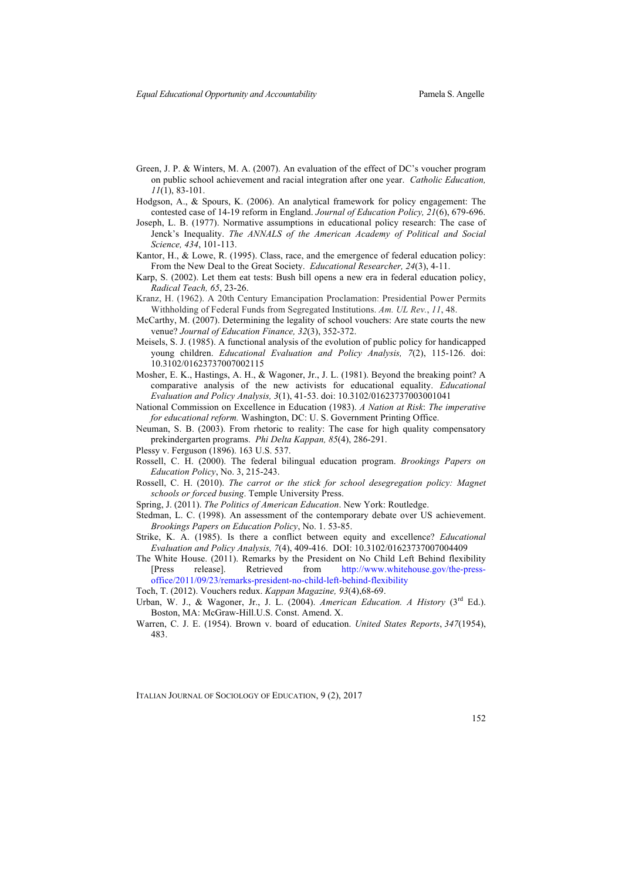- Green, J. P. & Winters, M. A. (2007). An evaluation of the effect of DC's voucher program on public school achievement and racial integration after one year. *Catholic Education, 11*(1), 83-101.
- Hodgson, A., & Spours, K. (2006). An analytical framework for policy engagement: The contested case of 14-19 reform in England. *Journal of Education Policy, 21*(6), 679-696.
- Joseph, L. B. (1977). Normative assumptions in educational policy research: The case of Jenck's Inequality. *The ANNALS of the American Academy of Political and Social Science, 434*, 101-113.
- Kantor, H., & Lowe, R. (1995). Class, race, and the emergence of federal education policy: From the New Deal to the Great Society. *Educational Researcher, 24*(3), 4-11.
- Karp, S. (2002). Let them eat tests: Bush bill opens a new era in federal education policy, *Radical Teach, 65*, 23-26.
- Kranz, H. (1962). A 20th Century Emancipation Proclamation: Presidential Power Permits Withholding of Federal Funds from Segregated Institutions. *Am. UL Rev.*, *11*, 48.
- McCarthy, M. (2007). Determining the legality of school vouchers: Are state courts the new venue? *Journal of Education Finance, 32*(3), 352-372.
- Meisels, S. J. (1985). A functional analysis of the evolution of public policy for handicapped young children. *Educational Evaluation and Policy Analysis, 7*(2), 115-126. doi: 10.3102/01623737007002115
- Mosher, E. K., Hastings, A. H., & Wagoner, Jr., J. L. (1981). Beyond the breaking point? A comparative analysis of the new activists for educational equality. *Educational Evaluation and Policy Analysis, 3*(1), 41-53. doi: 10.3102/01623737003001041
- National Commission on Excellence in Education (1983). *A Nation at Risk*: *The imperative for educational reform.* Washington, DC: U. S. Government Printing Office.
- Neuman, S. B. (2003). From rhetoric to reality: The case for high quality compensatory prekindergarten programs. *Phi Delta Kappan, 85*(4), 286-291.
- Plessy v. Ferguson (1896). 163 U.S. 537.
- Rossell, C. H. (2000). The federal bilingual education program. *Brookings Papers on Education Policy*, No. 3, 215-243.
- Rossell, C. H. (2010). *The carrot or the stick for school desegregation policy: Magnet schools or forced busing*. Temple University Press.
- Spring, J. (2011). *The Politics of American Education*. New York: Routledge.
- Stedman, L. C. (1998). An assessment of the contemporary debate over US achievement. *Brookings Papers on Education Policy*, No. 1. 53-85.
- Strike, K. A. (1985). Is there a conflict between equity and excellence? *Educational Evaluation and Policy Analysis, 7*(4), 409-416. DOI: 10.3102/01623737007004409
- The White House. (2011). Remarks by the President on No Child Left Behind flexibility [Press release]. Retrieved from http://www.whitehouse.gov/the-pressoffice/2011/09/23/remarks-president-no-child-left-behind-flexibility
- Toch, T. (2012). Vouchers redux. *Kappan Magazine, 93*(4),68-69.
- Urban, W. J., & Wagoner, Jr., J. L. (2004). *American Education. A History* (3rd Ed.). Boston, MA: McGraw-Hill.U.S. Const. Amend. X.
- Warren, C. J. E. (1954). Brown v. board of education. *United States Reports*, *347*(1954), 483.